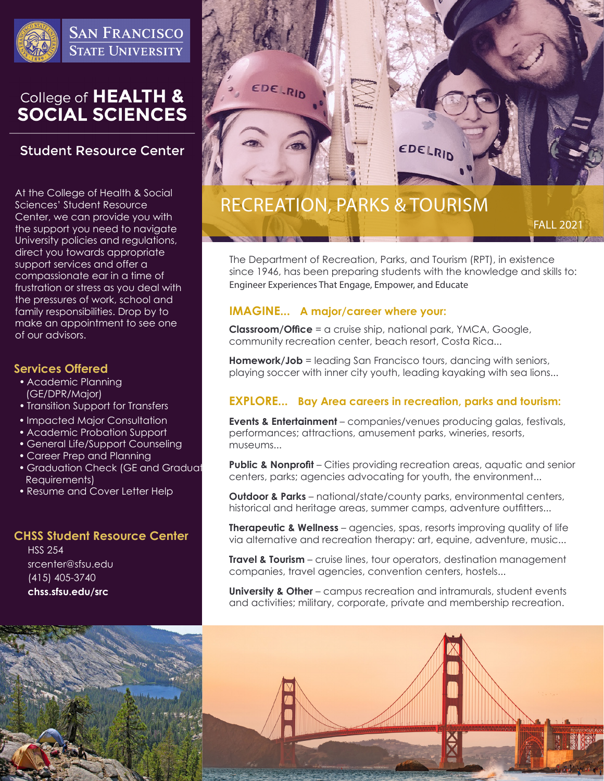

**SAN FRANCISCO STATE UNIVERSITY** 

# College of HEALTH &<br>SOCIAL SCIENCES

## **Student Resource Center**

At the College of Health & Social Sciences' Student Resource Center, we can provide you with the support you need to navigate University policies and regulations, direct you towards appropriate support services and offer a compassionate ear in a time of frustration or stress as you deal with the pressures of work, school and family responsibilities. Drop by to make an appointment to see one of our advisors.

## **Services Offered**

- Academic Planning (GE/DPR/Major)
- Transition Support for Transfers
- Impacted Major Consultation
- Academic Probation Support
- General Life/Support Counseling
- Career Prep and Planning
- Graduation Check (GE and Graduat Requirements)
- Resume and Cover Letter Help

### **CHSS Student Resource Center**

HSS 254 srcenter@sfsu.edu (415) 405-3740 **chss.sfsu.edu/src**



# RECREATION, PARKS & TOURISM

FALL 2021

The Department of Recreation, Parks, and Tourism (RPT), in existence since 1946, has been preparing students with the knowledge and skills to: Engineer Experiences That Engage, Empower, and Educate

## **IMAGINE... A major/career where your:**

**Classroom/Office** = a cruise ship, national park, YMCA, Google, community recreation center, beach resort, Costa Rica...

**Homework/Job** = leading San Francisco tours, dancing with seniors, playing soccer with inner city youth, leading kayaking with sea lions...

## **EXPLORE... Bay Area careers in recreation, parks and tourism:**

**Events & Entertainment** – companies/venues producing galas, festivals, performances; attractions, amusement parks, wineries, resorts, museums...

**Public & Nonprofit** – Cities providing recreation areas, aquatic and senior centers, parks; agencies advocating for youth, the environment...

**Outdoor & Parks** – national/state/county parks, environmental centers, historical and heritage areas, summer camps, adventure outfitters...

**Therapeutic & Wellness** – agencies, spas, resorts improving quality of life via alternative and recreation therapy: art, equine, adventure, music...

**Travel & Tourism** – cruise lines, tour operators, destination management companies, travel agencies, convention centers, hostels...

**University & Other** – campus recreation and intramurals, student events and activities; military, corporate, private and membership recreation.